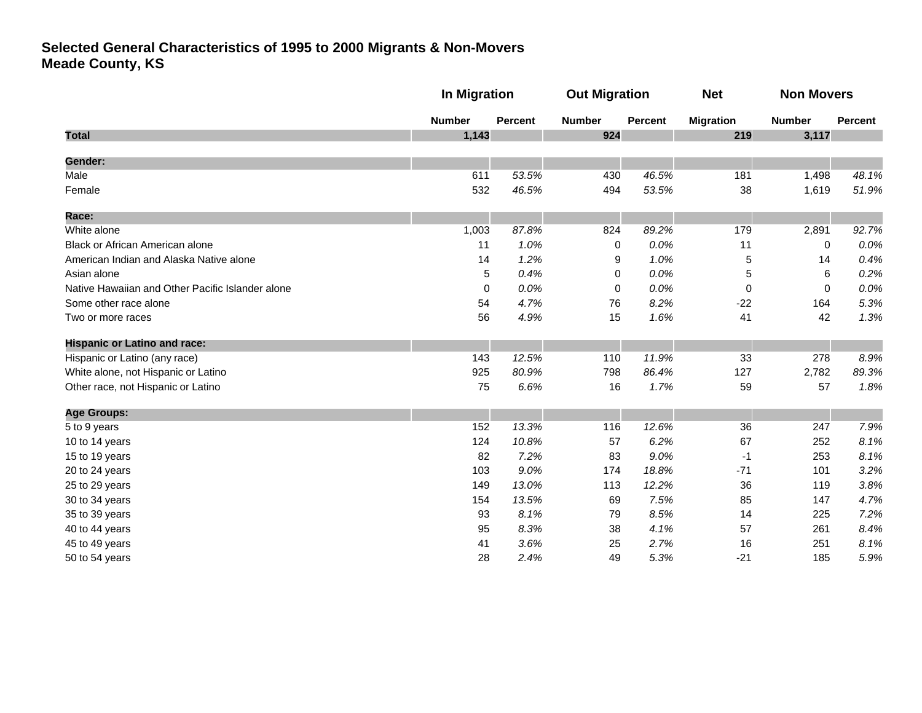|                                                  |               | <b>In Migration</b> |               | <b>Out Migration</b> |                  | <b>Non Movers</b> |                |
|--------------------------------------------------|---------------|---------------------|---------------|----------------------|------------------|-------------------|----------------|
|                                                  | <b>Number</b> | <b>Percent</b>      | <b>Number</b> | <b>Percent</b>       | <b>Migration</b> | <b>Number</b>     | <b>Percent</b> |
| <b>Total</b>                                     | 1,143         |                     | 924           |                      | 219              | 3,117             |                |
| Gender:                                          |               |                     |               |                      |                  |                   |                |
| Male                                             | 611           | 53.5%               | 430           | 46.5%                | 181              | 1,498             | 48.1%          |
| Female                                           | 532           | 46.5%               | 494           | 53.5%                | 38               | 1,619             | 51.9%          |
| <b>Race:</b>                                     |               |                     |               |                      |                  |                   |                |
| White alone                                      | 1,003         | 87.8%               | 824           | 89.2%                | 179              | 2,891             | 92.7%          |
| Black or African American alone                  | 11            | 1.0%                | 0             | 0.0%                 | 11               | 0                 | 0.0%           |
| American Indian and Alaska Native alone          | 14            | 1.2%                | 9             | 1.0%                 | 5                | 14                | 0.4%           |
| Asian alone                                      | 5             | 0.4%                | $\Omega$      | 0.0%                 | 5                | 6                 | 0.2%           |
| Native Hawaiian and Other Pacific Islander alone | $\mathbf 0$   | 0.0%                | 0             | 0.0%                 | 0                | $\mathbf 0$       | 0.0%           |
| Some other race alone                            | 54            | 4.7%                | 76            | 8.2%                 | $-22$            | 164               | 5.3%           |
| Two or more races                                | 56            | 4.9%                | 15            | 1.6%                 | 41               | 42                | 1.3%           |
| <b>Hispanic or Latino and race:</b>              |               |                     |               |                      |                  |                   |                |
| Hispanic or Latino (any race)                    | 143           | 12.5%               | 110           | 11.9%                | 33               | 278               | 8.9%           |
| White alone, not Hispanic or Latino              | 925           | 80.9%               | 798           | 86.4%                | 127              | 2,782             | 89.3%          |
| Other race, not Hispanic or Latino               | 75            | 6.6%                | 16            | 1.7%                 | 59               | 57                | 1.8%           |
| <b>Age Groups:</b>                               |               |                     |               |                      |                  |                   |                |
| 5 to 9 years                                     | 152           | 13.3%               | 116           | 12.6%                | 36               | 247               | 7.9%           |
| 10 to 14 years                                   | 124           | 10.8%               | 57            | 6.2%                 | 67               | 252               | 8.1%           |
| 15 to 19 years                                   | 82            | 7.2%                | 83            | 9.0%                 | -1               | 253               | 8.1%           |
| 20 to 24 years                                   | 103           | 9.0%                | 174           | 18.8%                | $-71$            | 101               | 3.2%           |
| 25 to 29 years                                   | 149           | 13.0%               | 113           | 12.2%                | 36               | 119               | 3.8%           |
| 30 to 34 years                                   | 154           | 13.5%               | 69            | 7.5%                 | 85               | 147               | 4.7%           |
| 35 to 39 years                                   | 93            | 8.1%                | 79            | 8.5%                 | 14               | 225               | 7.2%           |
| 40 to 44 years                                   | 95            | 8.3%                | 38            | 4.1%                 | 57               | 261               | 8.4%           |
| 45 to 49 years                                   | 41            | 3.6%                | 25            | 2.7%                 | 16               | 251               | 8.1%           |
| 50 to 54 years                                   | 28            | 2.4%                | 49            | 5.3%                 | $-21$            | 185               | 5.9%           |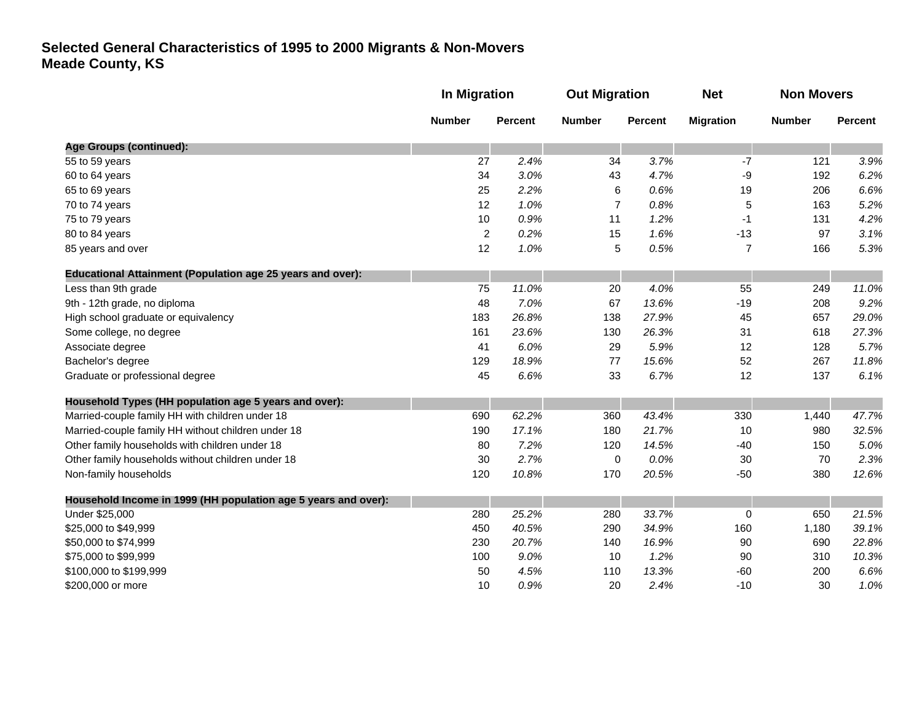|                                                                   | In Migration   |                                                   | <b>Out Migration</b> |               | <b>Net</b>     | <b>Non Movers</b> |       |
|-------------------------------------------------------------------|----------------|---------------------------------------------------|----------------------|---------------|----------------|-------------------|-------|
|                                                                   | <b>Number</b>  | <b>Number</b><br><b>Percent</b><br><b>Percent</b> | <b>Migration</b>     | <b>Number</b> | Percent        |                   |       |
| <b>Age Groups (continued):</b>                                    |                |                                                   |                      |               |                |                   |       |
| 55 to 59 years                                                    | 27             | 2.4%                                              | 34                   | 3.7%          | $-7$           | 121               | 3.9%  |
| 60 to 64 years                                                    | 34             | 3.0%                                              | 43                   | 4.7%          | -9             | 192               | 6.2%  |
| 65 to 69 years                                                    | 25             | 2.2%                                              | 6                    | 0.6%          | 19             | 206               | 6.6%  |
| 70 to 74 years                                                    | 12             | 1.0%                                              | $\overline{7}$       | 0.8%          | 5              | 163               | 5.2%  |
| 75 to 79 years                                                    | 10             | 0.9%                                              | 11                   | 1.2%          | $-1$           | 131               | 4.2%  |
| 80 to 84 years                                                    | $\overline{2}$ | 0.2%                                              | 15                   | 1.6%          | $-13$          | 97                | 3.1%  |
| 85 years and over                                                 | 12             | 1.0%                                              | 5                    | 0.5%          | $\overline{7}$ | 166               | 5.3%  |
| <b>Educational Attainment (Population age 25 years and over):</b> |                |                                                   |                      |               |                |                   |       |
| Less than 9th grade                                               | 75             | 11.0%                                             | 20                   | 4.0%          | 55             | 249               | 11.0% |
| 9th - 12th grade, no diploma                                      | 48             | 7.0%                                              | 67                   | 13.6%         | $-19$          | 208               | 9.2%  |
| High school graduate or equivalency                               | 183            | 26.8%                                             | 138                  | 27.9%         | 45             | 657               | 29.0% |
| Some college, no degree                                           | 161            | 23.6%                                             | 130                  | 26.3%         | 31             | 618               | 27.3% |
| Associate degree                                                  | 41             | 6.0%                                              | 29                   | 5.9%          | 12             | 128               | 5.7%  |
| Bachelor's degree                                                 | 129            | 18.9%                                             | 77                   | 15.6%         | 52             | 267               | 11.8% |
| Graduate or professional degree                                   | 45             | 6.6%                                              | 33                   | 6.7%          | 12             | 137               | 6.1%  |
| Household Types (HH population age 5 years and over):             |                |                                                   |                      |               |                |                   |       |
| Married-couple family HH with children under 18                   | 690            | 62.2%                                             | 360                  | 43.4%         | 330            | 1,440             | 47.7% |
| Married-couple family HH without children under 18                | 190            | 17.1%                                             | 180                  | 21.7%         | 10             | 980               | 32.5% |
| Other family households with children under 18                    | 80             | 7.2%                                              | 120                  | 14.5%         | $-40$          | 150               | 5.0%  |
| Other family households without children under 18                 | 30             | 2.7%                                              | 0                    | 0.0%          | 30             | 70                | 2.3%  |
| Non-family households                                             | 120            | 10.8%                                             | 170                  | 20.5%         | $-50$          | 380               | 12.6% |
| Household Income in 1999 (HH population age 5 years and over):    |                |                                                   |                      |               |                |                   |       |
| Under \$25,000                                                    | 280            | 25.2%                                             | 280                  | 33.7%         | 0              | 650               | 21.5% |
| \$25,000 to \$49,999                                              | 450            | 40.5%                                             | 290                  | 34.9%         | 160            | 1,180             | 39.1% |
| \$50,000 to \$74,999                                              | 230            | 20.7%                                             | 140                  | 16.9%         | 90             | 690               | 22.8% |
| \$75,000 to \$99,999                                              | 100            | 9.0%                                              | 10                   | 1.2%          | 90             | 310               | 10.3% |
| \$100,000 to \$199,999                                            | 50             | 4.5%                                              | 110                  | 13.3%         | $-60$          | 200               | 6.6%  |
| \$200,000 or more                                                 | 10             | 0.9%                                              | 20                   | 2.4%          | $-10$          | 30                | 1.0%  |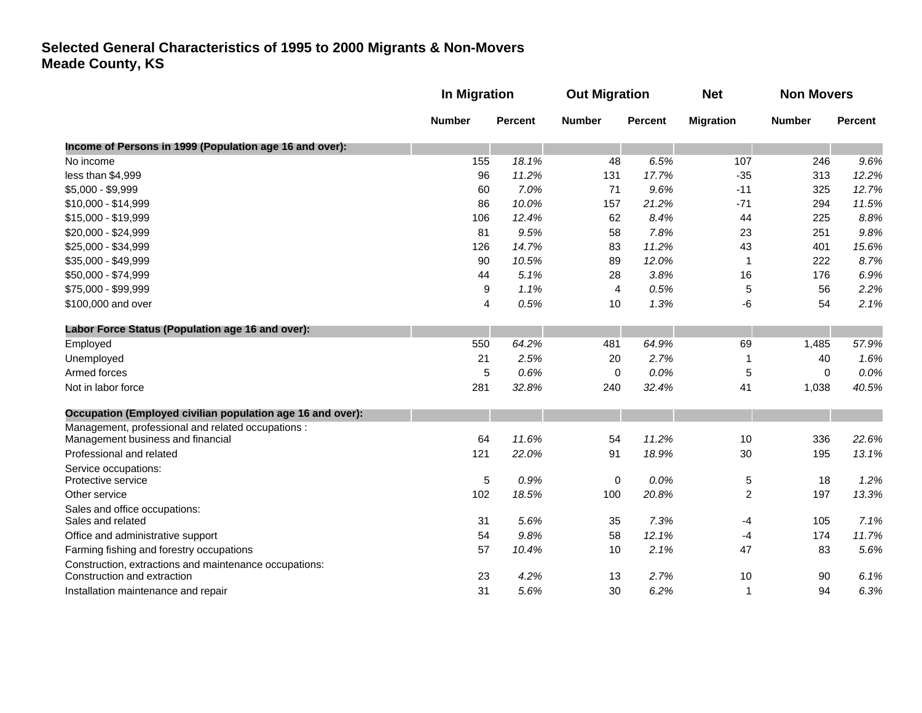|                                                                                       |               | In Migration   |                         | <b>Out Migration</b> |                  | <b>Non Movers</b> |                |
|---------------------------------------------------------------------------------------|---------------|----------------|-------------------------|----------------------|------------------|-------------------|----------------|
|                                                                                       | <b>Number</b> | <b>Percent</b> | <b>Number</b>           | <b>Percent</b>       | <b>Migration</b> | <b>Number</b>     | <b>Percent</b> |
| Income of Persons in 1999 (Population age 16 and over):                               |               |                |                         |                      |                  |                   |                |
| No income                                                                             | 155           | 18.1%          | 48                      | 6.5%                 | 107              | 246               | 9.6%           |
| less than \$4,999                                                                     | 96            | 11.2%          | 131                     | 17.7%                | $-35$            | 313               | 12.2%          |
| $$5,000 - $9,999$                                                                     | 60            | 7.0%           | 71                      | 9.6%                 | $-11$            | 325               | 12.7%          |
| \$10,000 - \$14,999                                                                   | 86            | 10.0%          | 157                     | 21.2%                | $-71$            | 294               | 11.5%          |
| \$15,000 - \$19,999                                                                   | 106           | 12.4%          | 62                      | 8.4%                 | 44               | 225               | 8.8%           |
| \$20,000 - \$24,999                                                                   | 81            | 9.5%           | 58                      | 7.8%                 | 23               | 251               | 9.8%           |
| \$25,000 - \$34,999                                                                   | 126           | 14.7%          | 83                      | 11.2%                | 43               | 401               | 15.6%          |
| \$35,000 - \$49,999                                                                   | 90            | 10.5%          | 89                      | 12.0%                | 1                | 222               | 8.7%           |
| \$50,000 - \$74,999                                                                   | 44            | 5.1%           | 28                      | 3.8%                 | 16               | 176               | 6.9%           |
| \$75,000 - \$99,999                                                                   | 9             | 1.1%           | $\overline{\mathbf{4}}$ | 0.5%                 | 5                | 56                | 2.2%           |
| \$100,000 and over                                                                    | 4             | 0.5%           | 10                      | 1.3%                 | -6               | 54                | 2.1%           |
| Labor Force Status (Population age 16 and over):                                      |               |                |                         |                      |                  |                   |                |
| Employed                                                                              | 550           | 64.2%          | 481                     | 64.9%                | 69               | 1,485             | 57.9%          |
| Unemployed                                                                            | 21            | 2.5%           | 20                      | 2.7%                 | 1                | 40                | 1.6%           |
| Armed forces                                                                          | $\sqrt{5}$    | 0.6%           | 0                       | 0.0%                 | 5                | $\mathbf 0$       | 0.0%           |
| Not in labor force                                                                    | 281           | 32.8%          | 240                     | 32.4%                | 41               | 1,038             | 40.5%          |
| Occupation (Employed civilian population age 16 and over):                            |               |                |                         |                      |                  |                   |                |
| Management, professional and related occupations :                                    |               |                |                         |                      |                  |                   |                |
| Management business and financial                                                     | 64            | 11.6%          | 54                      | 11.2%                | 10               | 336               | 22.6%          |
| Professional and related                                                              | 121           | 22.0%          | 91                      | 18.9%                | 30               | 195               | 13.1%          |
| Service occupations:                                                                  |               |                |                         |                      |                  |                   |                |
| Protective service                                                                    | $\sqrt{5}$    | 0.9%           | 0                       | 0.0%                 | 5                | 18                | 1.2%           |
| Other service                                                                         | 102           | 18.5%          | 100                     | 20.8%                | $\overline{c}$   | 197               | 13.3%          |
| Sales and office occupations:<br>Sales and related                                    | 31            | 5.6%           | 35                      | 7.3%                 |                  | 105               | 7.1%           |
|                                                                                       |               |                |                         |                      | -4               |                   |                |
| Office and administrative support                                                     | 54            | 9.8%           | 58                      | 12.1%                | -4               | 174               | 11.7%          |
| Farming fishing and forestry occupations                                              | 57            | 10.4%          | 10                      | 2.1%                 | 47               | 83                | 5.6%           |
| Construction, extractions and maintenance occupations:<br>Construction and extraction | 23            | 4.2%           | 13                      | 2.7%                 | 10               | 90                | 6.1%           |
| Installation maintenance and repair                                                   | 31            | 5.6%           | 30                      | 6.2%                 | $\mathbf{1}$     | 94                | 6.3%           |
|                                                                                       |               |                |                         |                      |                  |                   |                |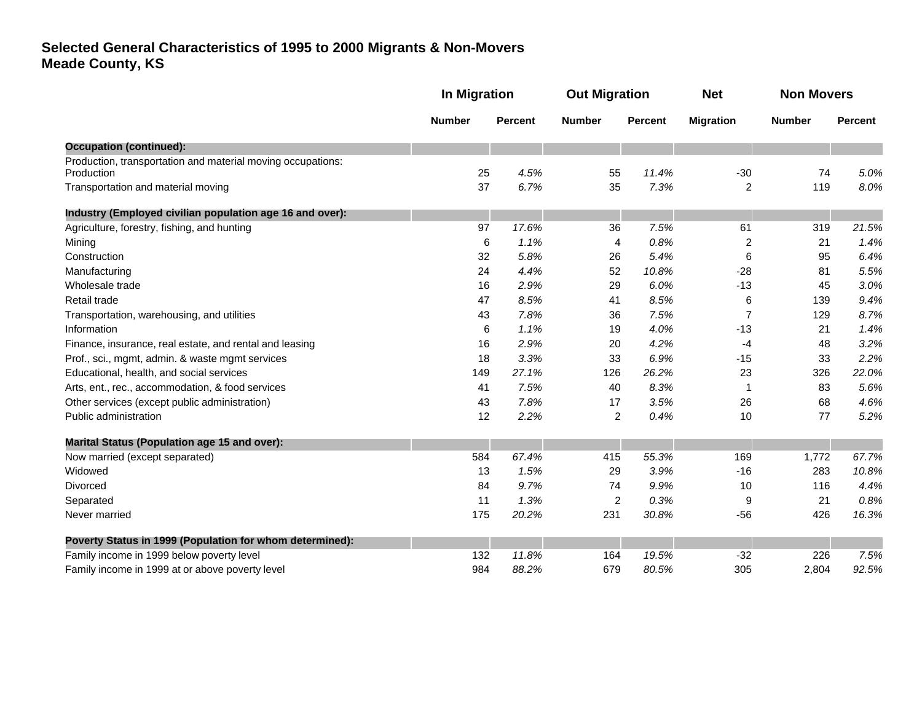|                                                                           | <b>In Migration</b> |                | <b>Out Migration</b> |         | <b>Net</b>       | <b>Non Movers</b> |                |
|---------------------------------------------------------------------------|---------------------|----------------|----------------------|---------|------------------|-------------------|----------------|
|                                                                           | <b>Number</b>       | <b>Percent</b> | <b>Number</b>        | Percent | <b>Migration</b> | <b>Number</b>     | <b>Percent</b> |
| <b>Occupation (continued):</b>                                            |                     |                |                      |         |                  |                   |                |
| Production, transportation and material moving occupations:<br>Production | 25                  | 4.5%           | 55                   | 11.4%   | $-30$            | 74                | 5.0%           |
| Transportation and material moving                                        | 37                  | 6.7%           | 35                   | 7.3%    | $\overline{2}$   | 119               | 8.0%           |
| Industry (Employed civilian population age 16 and over):                  |                     |                |                      |         |                  |                   |                |
| Agriculture, forestry, fishing, and hunting                               | 97                  | 17.6%          | 36                   | 7.5%    | 61               | 319               | 21.5%          |
| Mining                                                                    | 6                   | 1.1%           | 4                    | 0.8%    | $\overline{c}$   | 21                | 1.4%           |
| Construction                                                              | 32                  | 5.8%           | 26                   | 5.4%    | 6                | 95                | 6.4%           |
| Manufacturing                                                             | 24                  | 4.4%           | 52                   | 10.8%   | $-28$            | 81                | 5.5%           |
| Wholesale trade                                                           | 16                  | 2.9%           | 29                   | 6.0%    | $-13$            | 45                | 3.0%           |
| Retail trade                                                              | 47                  | 8.5%           | 41                   | 8.5%    | 6                | 139               | 9.4%           |
| Transportation, warehousing, and utilities                                | 43                  | 7.8%           | 36                   | 7.5%    | $\overline{7}$   | 129               | 8.7%           |
| Information                                                               | 6                   | 1.1%           | 19                   | 4.0%    | $-13$            | 21                | 1.4%           |
| Finance, insurance, real estate, and rental and leasing                   | 16                  | 2.9%           | 20                   | 4.2%    | -4               | 48                | 3.2%           |
| Prof., sci., mgmt, admin. & waste mgmt services                           | 18                  | 3.3%           | 33                   | 6.9%    | $-15$            | 33                | 2.2%           |
| Educational, health, and social services                                  | 149                 | 27.1%          | 126                  | 26.2%   | 23               | 326               | 22.0%          |
| Arts, ent., rec., accommodation, & food services                          | 41                  | 7.5%           | 40                   | 8.3%    | -1               | 83                | 5.6%           |
| Other services (except public administration)                             | 43                  | 7.8%           | 17                   | 3.5%    | 26               | 68                | 4.6%           |
| Public administration                                                     | 12                  | 2.2%           | $\overline{c}$       | 0.4%    | 10               | 77                | 5.2%           |
| <b>Marital Status (Population age 15 and over):</b>                       |                     |                |                      |         |                  |                   |                |
| Now married (except separated)                                            | 584                 | 67.4%          | 415                  | 55.3%   | 169              | 1,772             | 67.7%          |
| Widowed                                                                   | 13                  | 1.5%           | 29                   | 3.9%    | $-16$            | 283               | 10.8%          |
| <b>Divorced</b>                                                           | 84                  | 9.7%           | 74                   | 9.9%    | 10               | 116               | 4.4%           |
| Separated                                                                 | 11                  | 1.3%           | $\overline{c}$       | 0.3%    | 9                | 21                | 0.8%           |
| Never married                                                             | 175                 | 20.2%          | 231                  | 30.8%   | $-56$            | 426               | 16.3%          |
| Poverty Status in 1999 (Population for whom determined):                  |                     |                |                      |         |                  |                   |                |
| Family income in 1999 below poverty level                                 | 132                 | 11.8%          | 164                  | 19.5%   | $-32$            | 226               | 7.5%           |
| Family income in 1999 at or above poverty level                           | 984                 | 88.2%          | 679                  | 80.5%   | 305              | 2,804             | 92.5%          |